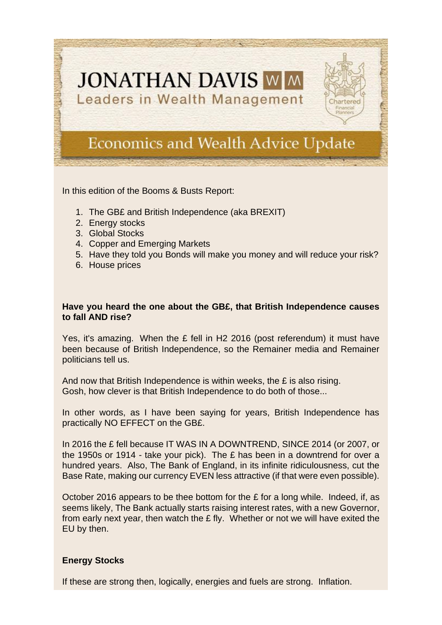# **JONATHAN DAVIS WM Leaders in Wealth Management**



In this edition of the Booms & Busts Report:

- 1. The GB£ and British Independence (aka BREXIT)
- 2. Energy stocks
- 3. Global Stocks
- 4. Copper and Emerging Markets
- 5. Have they told you Bonds will make you money and will reduce your risk?
- 6. House prices

#### **Have you heard the one about the GB£, that British Independence causes to fall AND rise?**

Yes, it's amazing. When the £ fell in H2 2016 (post referendum) it must have been because of British Independence, so the Remainer media and Remainer politicians tell us.

And now that British Independence is within weeks, the  $E$  is also rising. Gosh, how clever is that British Independence to do both of those...

In other words, as I have been saying for years, British Independence has practically NO EFFECT on the GB£.

In 2016 the £ fell because IT WAS IN A DOWNTREND, SINCE 2014 (or 2007, or the 1950s or 1914 - take your pick). The £ has been in a downtrend for over a hundred years. Also, The Bank of England, in its infinite ridiculousness, cut the Base Rate, making our currency EVEN less attractive (if that were even possible).

October 2016 appears to be thee bottom for the £ for a long while. Indeed, if, as seems likely, The Bank actually starts raising interest rates, with a new Governor, from early next year, then watch the £ fly. Whether or not we will have exited the EU by then.

# **Energy Stocks**

If these are strong then, logically, energies and fuels are strong. Inflation.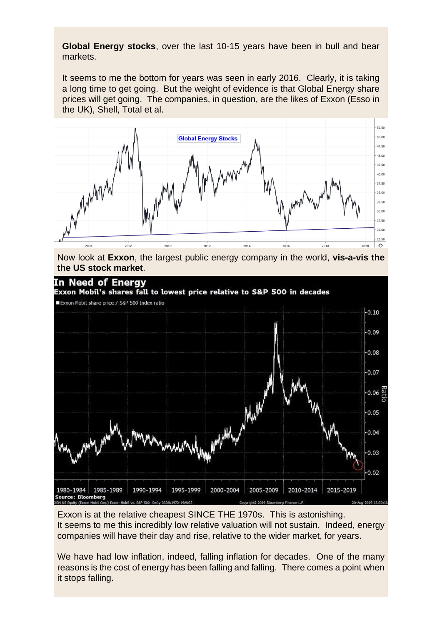**Global Energy stocks**, over the last 10-15 years have been in bull and bear markets.

It seems to me the bottom for years was seen in early 2016. Clearly, it is taking a long time to get going. But the weight of evidence is that Global Energy share prices will get going. The companies, in question, are the likes of Exxon (Esso in the UK), Shell, Total et al.



Now look at **Exxon**, the largest public energy company in the world, **vis-a-vis the the US stock market**.



Exxon is at the relative cheapest SINCE THE 1970s. This is astonishing. It seems to me this incredibly low relative valuation will not sustain. Indeed, energy companies will have their day and rise, relative to the wider market, for years.

We have had low inflation, indeed, falling inflation for decades. One of the many reasons is the cost of energy has been falling and falling. There comes a point when it stops falling.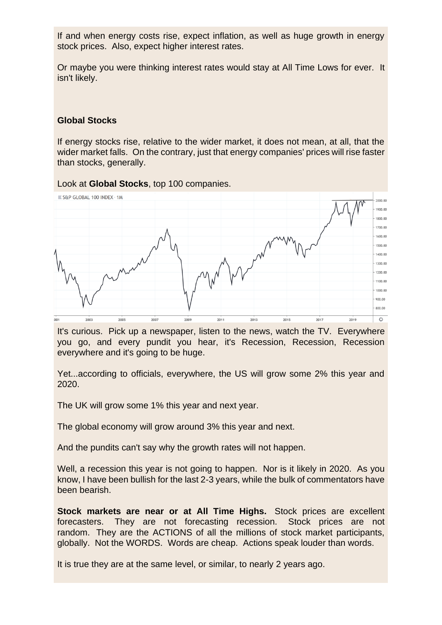If and when energy costs rise, expect inflation, as well as huge growth in energy stock prices. Also, expect higher interest rates.

Or maybe you were thinking interest rates would stay at All Time Lows for ever. It isn't likely.

# **Global Stocks**

If energy stocks rise, relative to the wider market, it does not mean, at all, that the wider market falls. On the contrary, just that energy companies' prices will rise faster than stocks, generally.

Look at **Global Stocks**, top 100 companies.



It's curious. Pick up a newspaper, listen to the news, watch the TV. Everywhere you go, and every pundit you hear, it's Recession, Recession, Recession everywhere and it's going to be huge.

Yet...according to officials, everywhere, the US will grow some 2% this year and 2020.

The UK will grow some 1% this year and next year.

The global economy will grow around 3% this year and next.

And the pundits can't say why the growth rates will not happen.

Well, a recession this year is not going to happen. Nor is it likely in 2020. As you know, I have been bullish for the last 2-3 years, while the bulk of commentators have been bearish.

**Stock markets are near or at All Time Highs.** Stock prices are excellent forecasters. They are not forecasting recession. Stock prices are not random. They are the ACTIONS of all the millions of stock market participants, globally. Not the WORDS. Words are cheap. Actions speak louder than words.

It is true they are at the same level, or similar, to nearly 2 years ago.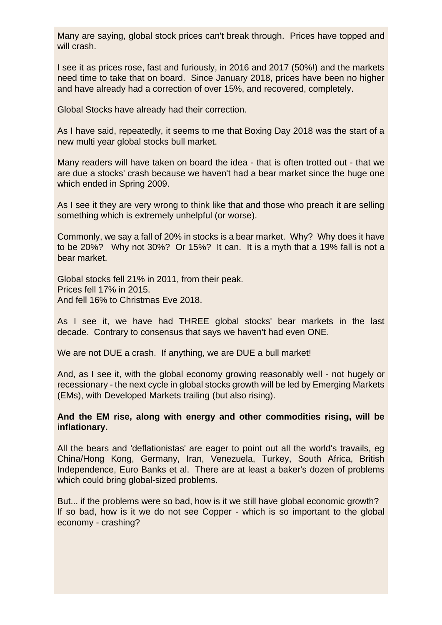Many are saying, global stock prices can't break through. Prices have topped and will crash.

I see it as prices rose, fast and furiously, in 2016 and 2017 (50%!) and the markets need time to take that on board. Since January 2018, prices have been no higher and have already had a correction of over 15%, and recovered, completely.

Global Stocks have already had their correction.

As I have said, repeatedly, it seems to me that Boxing Day 2018 was the start of a new multi year global stocks bull market.

Many readers will have taken on board the idea - that is often trotted out - that we are due a stocks' crash because we haven't had a bear market since the huge one which ended in Spring 2009.

As I see it they are very wrong to think like that and those who preach it are selling something which is extremely unhelpful (or worse).

Commonly, we say a fall of 20% in stocks is a bear market. Why? Why does it have to be 20%? Why not 30%? Or 15%? It can. It is a myth that a 19% fall is not a bear market.

Global stocks fell 21% in 2011, from their peak. Prices fell 17% in 2015. And fell 16% to Christmas Eve 2018.

As I see it, we have had THREE global stocks' bear markets in the last decade. Contrary to consensus that says we haven't had even ONE.

We are not DUE a crash. If anything, we are DUE a bull market!

And, as I see it, with the global economy growing reasonably well - not hugely or recessionary - the next cycle in global stocks growth will be led by Emerging Markets (EMs), with Developed Markets trailing (but also rising).

#### **And the EM rise, along with energy and other commodities rising, will be inflationary.**

All the bears and 'deflationistas' are eager to point out all the world's travails, eg China/Hong Kong, Germany, Iran, Venezuela, Turkey, South Africa, British Independence, Euro Banks et al. There are at least a baker's dozen of problems which could bring global-sized problems.

But... if the problems were so bad, how is it we still have global economic growth? If so bad, how is it we do not see Copper - which is so important to the global economy - crashing?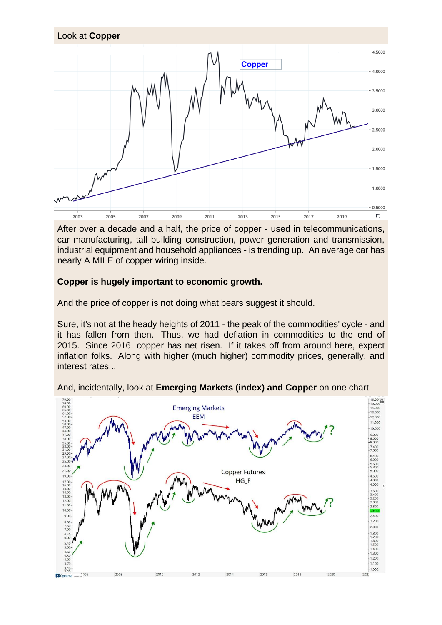

After over a decade and a half, the price of copper - used in telecommunications, car manufacturing, tall building construction, power generation and transmission, industrial equipment and household appliances - is trending up. An average car has nearly A MILE of copper wiring inside.

# **Copper is hugely important to economic growth.**

And the price of copper is not doing what bears suggest it should.

Sure, it's not at the heady heights of 2011 - the peak of the commodities' cycle - and it has fallen from then. Thus, we had deflation in commodities to the end of 2015. Since 2016, copper has net risen. If it takes off from around here, expect inflation folks. Along with higher (much higher) commodity prices, generally, and interest rates...

And, incidentally, look at **Emerging Markets (index) and Copper** on one chart.

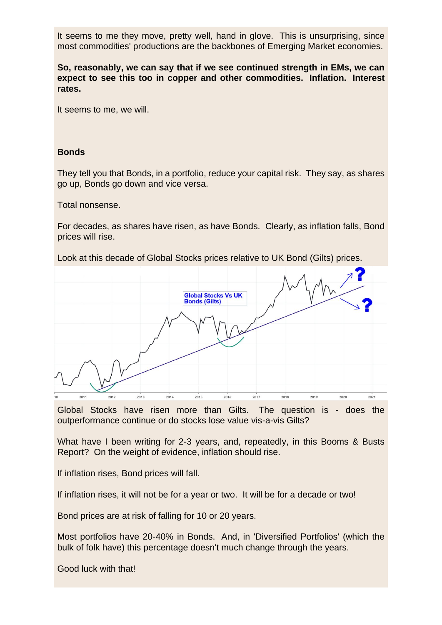It seems to me they move, pretty well, hand in glove. This is unsurprising, since most commodities' productions are the backbones of Emerging Market economies.

**So, reasonably, we can say that if we see continued strength in EMs, we can expect to see this too in copper and other commodities. Inflation. Interest rates.**

It seems to me, we will.

# **Bonds**

They tell you that Bonds, in a portfolio, reduce your capital risk. They say, as shares go up, Bonds go down and vice versa.

Total nonsense.

For decades, as shares have risen, as have Bonds. Clearly, as inflation falls, Bond prices will rise.

Look at this decade of Global Stocks prices relative to UK Bond (Gilts) prices.



Global Stocks have risen more than Gilts. The question is - does the outperformance continue or do stocks lose value vis-a-vis Gilts?

What have I been writing for 2-3 years, and, repeatedly, in this Booms & Busts Report? On the weight of evidence, inflation should rise.

If inflation rises, Bond prices will fall.

If inflation rises, it will not be for a year or two. It will be for a decade or two!

Bond prices are at risk of falling for 10 or 20 years.

Most portfolios have 20-40% in Bonds. And, in 'Diversified Portfolios' (which the bulk of folk have) this percentage doesn't much change through the years.

Good luck with that!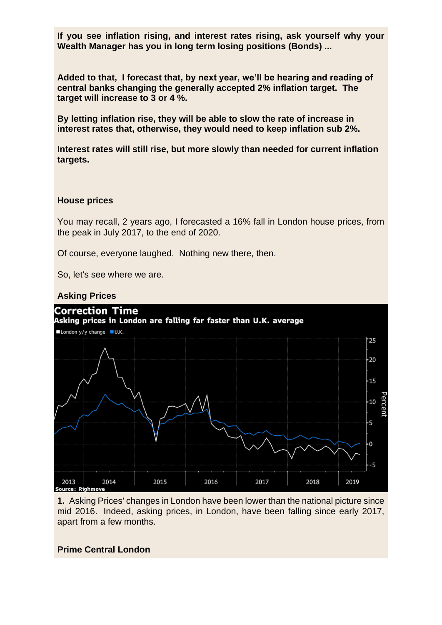**If you see inflation rising, and interest rates rising, ask yourself why your Wealth Manager has you in long term losing positions (Bonds) ...**

**Added to that, I forecast that, by next year, we'll be hearing and reading of central banks changing the generally accepted 2% inflation target. The target will increase to 3 or 4 %.**

**By letting inflation rise, they will be able to slow the rate of increase in interest rates that, otherwise, they would need to keep inflation sub 2%.**

**Interest rates will still rise, but more slowly than needed for current inflation targets.**

#### **House prices**

You may recall, 2 years ago, I forecasted a 16% fall in London house prices, from the peak in July 2017, to the end of 2020.

Of course, everyone laughed. Nothing new there, then.

So, let's see where we are.

#### **Asking Prices**



**1.** Asking Prices' changes in London have been lower than the national picture since mid 2016. Indeed, asking prices, in London, have been falling since early 2017, apart from a few months.

#### **Prime Central London**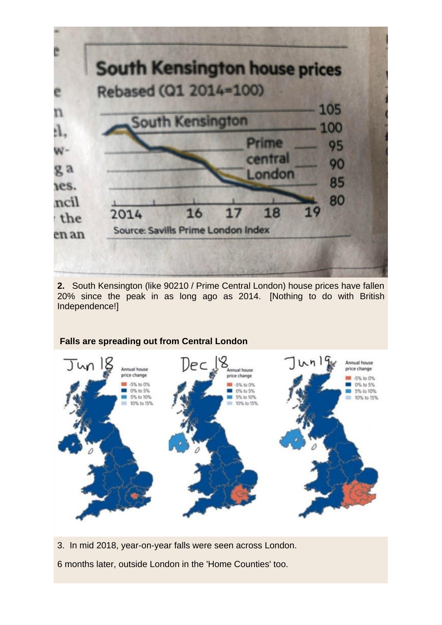

**2.** South Kensington (like 90210 / Prime Central London) house prices have fallen 20% since the peak in as long ago as 2014. [Nothing to do with British Independence!]



**Falls are spreading out from Central London**

3. In mid 2018, year-on-year falls were seen across London.

6 months later, outside London in the 'Home Counties' too.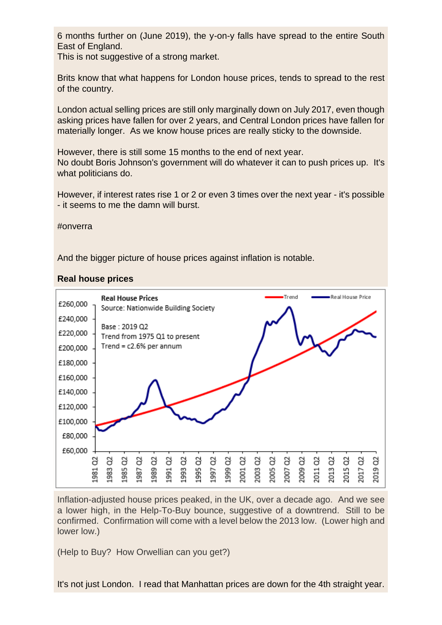6 months further on (June 2019), the y-on-y falls have spread to the entire South East of England.

This is not suggestive of a strong market.

Brits know that what happens for London house prices, tends to spread to the rest of the country.

London actual selling prices are still only marginally down on July 2017, even though asking prices have fallen for over 2 years, and Central London prices have fallen for materially longer. As we know house prices are really sticky to the downside.

However, there is still some 15 months to the end of next year. No doubt Boris Johnson's government will do whatever it can to push prices up. It's what politicians do.

However, if interest rates rise 1 or 2 or even 3 times over the next year - it's possible - it seems to me the damn will burst.

#onverra

And the bigger picture of house prices against inflation is notable.

# **Real house prices**



Inflation-adjusted house prices peaked, in the UK, over a decade ago. And we see a lower high, in the Help-To-Buy bounce, suggestive of a downtrend. Still to be confirmed. Confirmation will come with a level below the 2013 low. (Lower high and lower low.)

(Help to Buy? How Orwellian can you get?)

It's not just London. I read that Manhattan prices are down for the 4th straight year.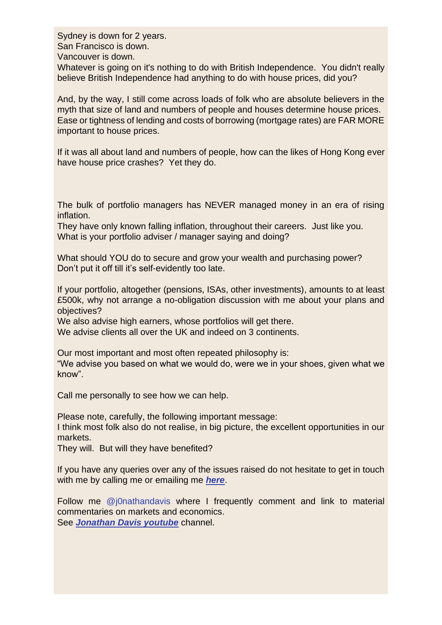Sydney is down for 2 years. San Francisco is down. Vancouver is down. Whatever is going on it's nothing to do with British Independence. You didn't really believe British Independence had anything to do with house prices, did you?

And, by the way, I still come across loads of folk who are absolute believers in the myth that size of land and numbers of people and houses determine house prices. Ease or tightness of lending and costs of borrowing (mortgage rates) are FAR MORE important to house prices.

If it was all about land and numbers of people, how can the likes of Hong Kong ever have house price crashes? Yet they do.

The bulk of portfolio managers has NEVER managed money in an era of rising inflation.

They have only known falling inflation, throughout their careers. Just like you. What is your portfolio adviser / manager saying and doing?

What should YOU do to secure and grow your wealth and purchasing power? Don't put it off till it's self-evidently too late.

If your portfolio, altogether (pensions, ISAs, other investments), amounts to at least £500k, why not arrange a no-obligation discussion with me about your plans and objectives?

We also advise high earners, whose portfolios will get there.

We advise clients all over the UK and indeed on 3 continents.

Our most important and most often repeated philosophy is:

"We advise you based on what we would do, were we in your shoes, given what we know".

Call me personally to see how we can help.

Please note, carefully, the following important message:

I think most folk also do not realise, in big picture, the excellent opportunities in our markets.

They will. But will they have benefited?

If you have any queries over any of the issues raised do not hesitate to get in touch with me by calling me or emailing me *[here](mailto:jdavis@jonathandaviswm.com?subject=Query%20from%20October%202019%20Booms%20%26%20Busts%20Report)*.

Follow me @j0nathandavis where I frequently comment and link to material commentaries on markets and economics. See *[Jonathan Davis youtube](https://jonathandaviswealthmanagement.com/MW5-6IQR6-382O84-3S5ILV-1/c.aspx)* channel.